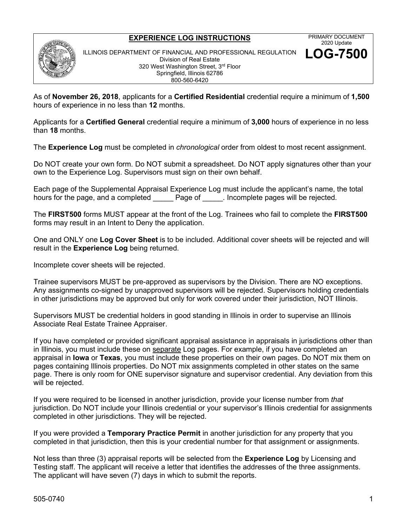## **EXPERIENCE LOG INSTRUCTIONS**



As of **November 26, 2018**, applicants for a **Certified Residential** credential require a minimum of **1,500** hours of experience in no less than **12** months.

Applicants for a **Certified General** credential require a minimum of **3,000** hours of experience in no less than **18** months.

The **Experience Log** must be completed in *chronological* order from oldest to most recent assignment.

Do NOT create your own form. Do NOT submit a spreadsheet. Do NOT apply signatures other than your own to the Experience Log. Supervisors must sign on their own behalf.

Each page of the Supplemental Appraisal Experience Log must include the applicant's name, the total hours for the page, and a completed **Example Page of Lead incomplete pages will be rejected.** 

The **FIRST500** forms MUST appear at the front of the Log. Trainees who fail to complete the **FIRST500** forms may result in an Intent to Deny the application.

One and ONLY one **Log Cover Sheet** is to be included. Additional cover sheets will be rejected and will result in the **Experience Log** being returned.

Incomplete cover sheets will be rejected.

Trainee supervisors MUST be pre-approved as supervisors by the Division. There are NO exceptions. Any assignments co-signed by unapproved supervisors will be rejected. Supervisors holding credentials in other jurisdictions may be approved but only for work covered under their jurisdiction, NOT Illinois.

Supervisors MUST be credential holders in good standing in Illinois in order to supervise an Illinois Associate Real Estate Trainee Appraiser.

If you have completed or provided significant appraisal assistance in appraisals in jurisdictions other than in Illinois, you must include these on separate Log pages. For example, if you have completed an appraisal in **Iowa** or **Texas**, you must include these properties on their own pages. Do NOT mix them on pages containing Illinois properties. Do NOT mix assignments completed in other states on the same page. There is only room for ONE supervisor signature and supervisor credential. Any deviation from this will be rejected.

If you were required to be licensed in another jurisdiction, provide your license number from *that* jurisdiction. Do NOT include your Illinois credential or your supervisor's Illinois credential for assignments completed in other jurisdictions. They will be rejected.

If you were provided a **Temporary Practice Permit** in another jurisdiction for any property that you completed in that jurisdiction, then this is your credential number for that assignment or assignments.

Not less than three (3) appraisal reports will be selected from the **Experience Log** by Licensing and Testing staff. The applicant will receive a letter that identifies the addresses of the three assignments. The applicant will have seven (7) days in which to submit the reports.

PRIMARY DOCUMENT 2020 Update **LOG-7500**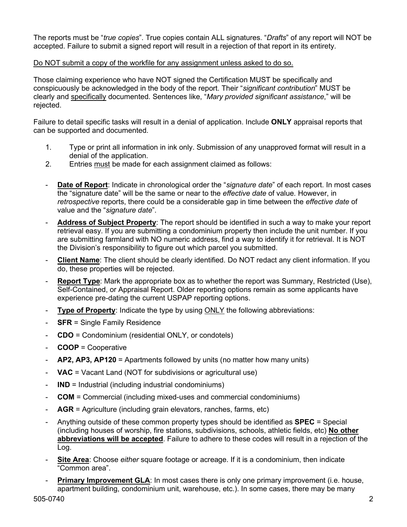The reports must be "*true copies*". True copies contain ALL signatures. "*Drafts*" of any report will NOT be accepted. Failure to submit a signed report will result in a rejection of that report in its entirety.

## Do NOT submit a copy of the workfile for any assignment unless asked to do so.

Those claiming experience who have NOT signed the Certification MUST be specifically and conspicuously be acknowledged in the body of the report. Their "*significant contribution*" MUST be clearly and specifically documented. Sentences like, "*Mary provided significant assistance*," will be rejected.

Failure to detail specific tasks will result in a denial of application. Include **ONLY** appraisal reports that can be supported and documented.

- 1. Type or print all information in ink only. Submission of any unapproved format will result in a denial of the application.
- 2. Entries must be made for each assignment claimed as follows:
- **Date of Report:** Indicate in chronological order the "signature date" of each report. In most cases the "signature date" will be the same or near to the *effective date* of value. However, in *retrospective* reports, there could be a considerable gap in time between the *effective date* of value and the "*signature date*".
- **Address of Subject Property**: The report should be identified in such a way to make your report retrieval easy. If you are submitting a condominium property then include the unit number. If you are submitting farmland with NO numeric address, find a way to identify it for retrieval. It is NOT the Division's responsibility to figure out which parcel you submitted.
- **Client Name**: The client should be clearly identified. Do NOT redact any client information. If you do, these properties will be rejected.
- **Report Type**: Mark the appropriate box as to whether the report was Summary, Restricted (Use), Self-Contained, or Appraisal Report. Older reporting options remain as some applicants have experience pre-dating the current USPAP reporting options.
- **Type of Property**: Indicate the type by using ONLY the following abbreviations:
- **SFR** = Single Family Residence
- **CDO** = Condominium (residential ONLY, or condotels)
- **COOP** = Cooperative
- **AP2, AP3, AP120** = Apartments followed by units (no matter how many units)
- **VAC** = Vacant Land (NOT for subdivisions or agricultural use)
- **IND** = Industrial (including industrial condominiums)
- **COM** = Commercial (including mixed-uses and commercial condominiums)
- AGR = Agriculture (including grain elevators, ranches, farms, etc)
- Anything outside of these common property types should be identified as **SPEC** = Special (including houses of worship, fire stations, subdivisions, schools, athletic fields, etc) **No other abbreviations will be accepted**. Failure to adhere to these codes will result in a rejection of the Log.
- Site Area: Choose *either* square footage or acreage. If it is a condominium, then indicate "Common area".
- **Primary Improvement GLA:** In most cases there is only one primary improvement (i.e. house, apartment building, condominium unit, warehouse, etc.). In some cases, there may be many